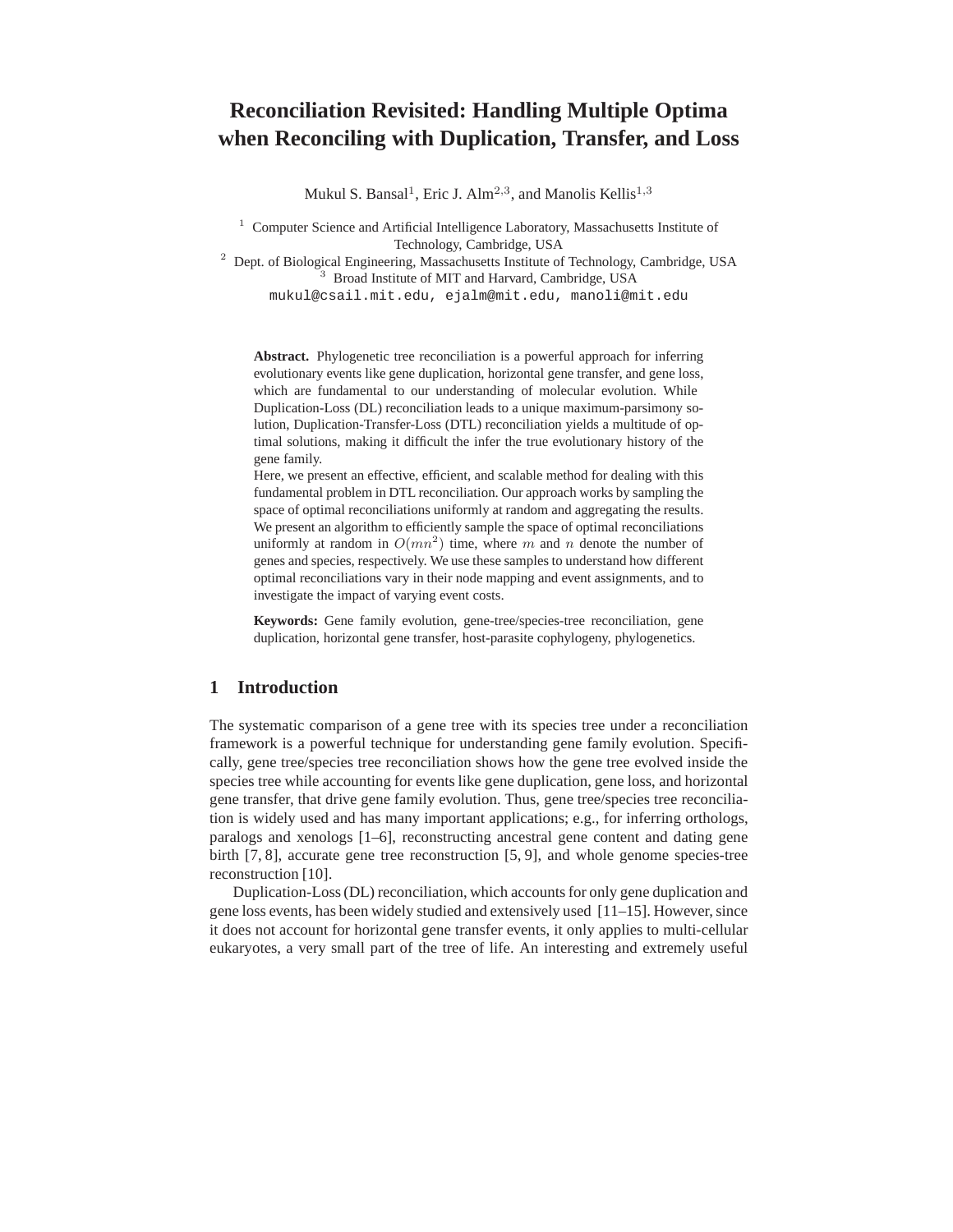# **Reconciliation Revisited: Handling Multiple Optima when Reconciling with Duplication, Transfer, and Loss**

Mukul S. Bansal<sup>1</sup>, Eric J. Alm<sup>2,3</sup>, and Manolis Kellis<sup>1,3</sup>

<sup>1</sup> Computer Science and Artificial Intelligence Laboratory, Massachusetts Institute of Technology, Cambridge, USA

<sup>2</sup> Dept. of Biological Engineering, Massachusetts Institute of Technology, Cambridge, USA <sup>3</sup> Broad Institute of MIT and Harvard, Cambridge, USA

mukul@csail.mit.edu, ejalm@mit.edu, manoli@mit.edu

**Abstract.** Phylogenetic tree reconciliation is a powerful approach for inferring evolutionary events like gene duplication, horizontal gene transfer, and gene loss, which are fundamental to our understanding of molecular evolution. While Duplication-Loss (DL) reconciliation leads to a unique maximum-parsimony solution, Duplication-Transfer-Loss (DTL) reconciliation yields a multitude of optimal solutions, making it difficult the infer the true evolutionary history of the gene family.

Here, we present an effective, efficient, and scalable method for dealing with this fundamental problem in DTL reconciliation. Our approach works by sampling the space of optimal reconciliations uniformly at random and aggregating the results. We present an algorithm to efficiently sample the space of optimal reconciliations uniformly at random in  $O(mn^2)$  time, where m and n denote the number of genes and species, respectively. We use these samples to understand how different optimal reconciliations vary in their node mapping and event assignments, and to investigate the impact of varying event costs.

**Keywords:** Gene family evolution, gene-tree/species-tree reconciliation, gene duplication, horizontal gene transfer, host-parasite cophylogeny, phylogenetics.

#### **1 Introduction**

The systematic comparison of a gene tree with its species tree under a reconciliation framework is a powerful technique for understanding gene family evolution. Specifically, gene tree/species tree reconciliation shows how the gene tree evolved inside the species tree while accounting for events like gene duplication, gene loss, and horizontal gene transfer, that drive gene family evolution. Thus, gene tree/species tree reconciliation is widely used and has many important applications; e.g., for inferring orthologs, paralogs and xenologs [1–6], reconstructing ancestral gene content and dating gene birth [7, 8], accurate gene tree reconstruction [5, 9], and whole genome species-tree reconstruction [10].

Duplication-Loss (DL) reconciliation, which accounts for only gene duplication and gene loss events, has been widely studied and extensively used [11–15]. However, since it does not account for horizontal gene transfer events, it only applies to multi-cellular eukaryotes, a very small part of the tree of life. An interesting and extremely useful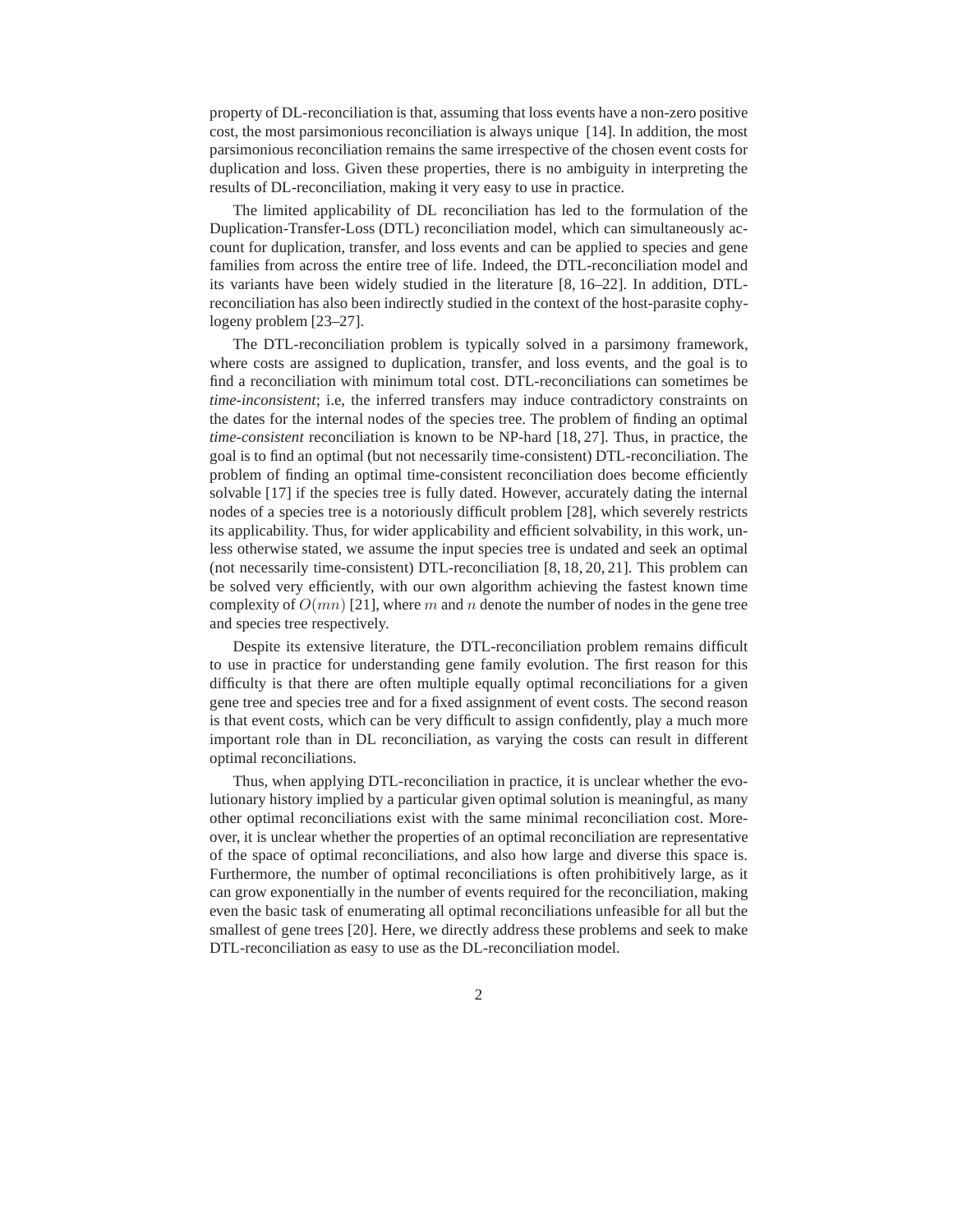property of DL-reconciliation is that, assuming that loss events have a non-zero positive cost, the most parsimonious reconciliation is always unique [14]. In addition, the most parsimonious reconciliation remains the same irrespective of the chosen event costs for duplication and loss. Given these properties, there is no ambiguity in interpreting the results of DL-reconciliation, making it very easy to use in practice.

The limited applicability of DL reconciliation has led to the formulation of the Duplication-Transfer-Loss (DTL) reconciliation model, which can simultaneously account for duplication, transfer, and loss events and can be applied to species and gene families from across the entire tree of life. Indeed, the DTL-reconciliation model and its variants have been widely studied in the literature [8, 16–22]. In addition, DTLreconciliation has also been indirectly studied in the context of the host-parasite cophylogeny problem [23–27].

The DTL-reconciliation problem is typically solved in a parsimony framework, where costs are assigned to duplication, transfer, and loss events, and the goal is to find a reconciliation with minimum total cost. DTL-reconciliations can sometimes be *time-inconsistent*; i.e, the inferred transfers may induce contradictory constraints on the dates for the internal nodes of the species tree. The problem of finding an optimal *time-consistent* reconciliation is known to be NP-hard [18, 27]. Thus, in practice, the goal is to find an optimal (but not necessarily time-consistent) DTL-reconciliation. The problem of finding an optimal time-consistent reconciliation does become efficiently solvable [17] if the species tree is fully dated. However, accurately dating the internal nodes of a species tree is a notoriously difficult problem [28], which severely restricts its applicability. Thus, for wider applicability and efficient solvability, in this work, unless otherwise stated, we assume the input species tree is undated and seek an optimal (not necessarily time-consistent) DTL-reconciliation [8, 18, 20, 21]. This problem can be solved very efficiently, with our own algorithm achieving the fastest known time complexity of  $O(mn)$  [21], where m and n denote the number of nodes in the gene tree and species tree respectively.

Despite its extensive literature, the DTL-reconciliation problem remains difficult to use in practice for understanding gene family evolution. The first reason for this difficulty is that there are often multiple equally optimal reconciliations for a given gene tree and species tree and for a fixed assignment of event costs. The second reason is that event costs, which can be very difficult to assign confidently, play a much more important role than in DL reconciliation, as varying the costs can result in different optimal reconciliations.

Thus, when applying DTL-reconciliation in practice, it is unclear whether the evolutionary history implied by a particular given optimal solution is meaningful, as many other optimal reconciliations exist with the same minimal reconciliation cost. Moreover, it is unclear whether the properties of an optimal reconciliation are representative of the space of optimal reconciliations, and also how large and diverse this space is. Furthermore, the number of optimal reconciliations is often prohibitively large, as it can grow exponentially in the number of events required for the reconciliation, making even the basic task of enumerating all optimal reconciliations unfeasible for all but the smallest of gene trees [20]. Here, we directly address these problems and seek to make DTL-reconciliation as easy to use as the DL-reconciliation model.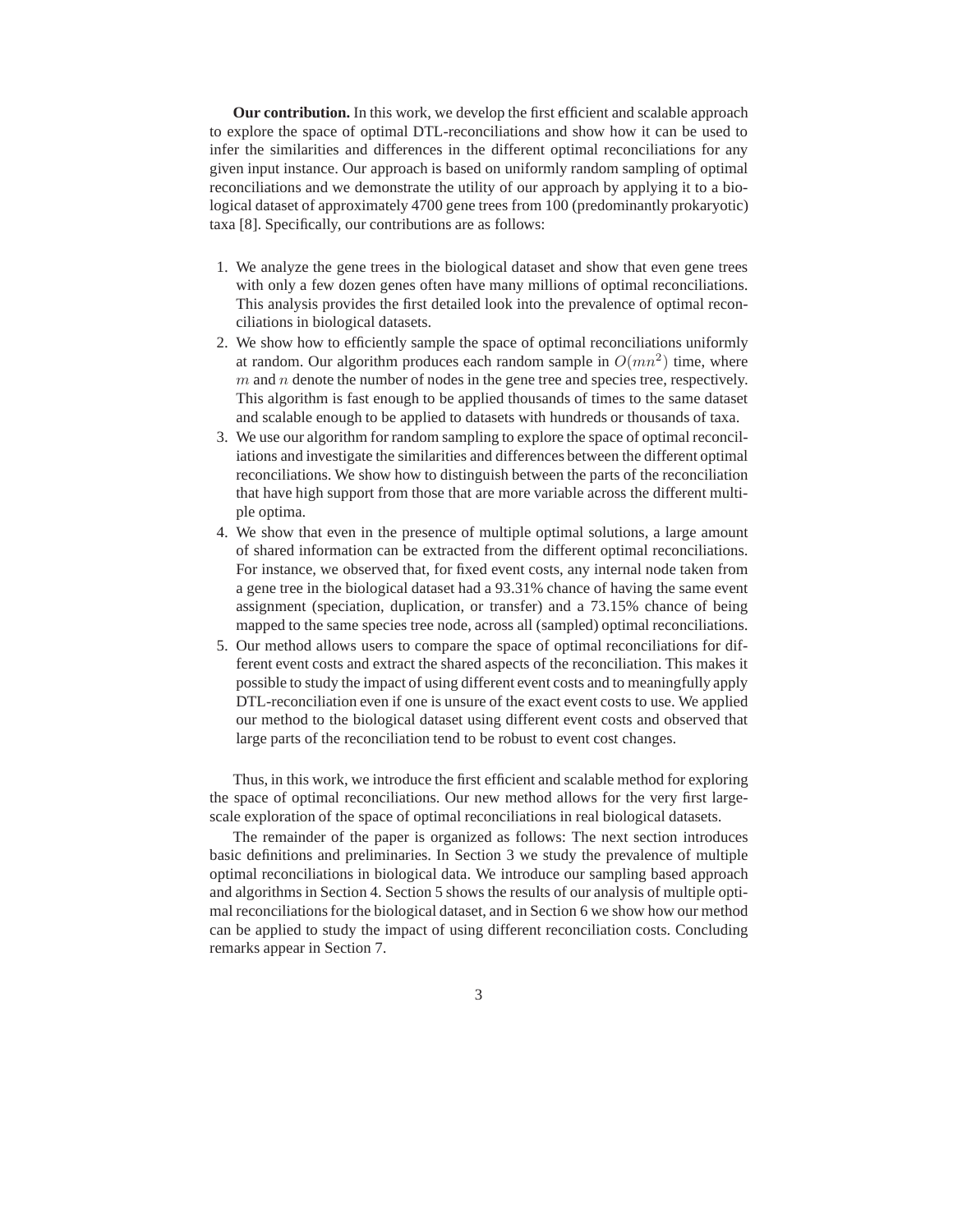**Our contribution.** In this work, we develop the first efficient and scalable approach to explore the space of optimal DTL-reconciliations and show how it can be used to infer the similarities and differences in the different optimal reconciliations for any given input instance. Our approach is based on uniformly random sampling of optimal reconciliations and we demonstrate the utility of our approach by applying it to a biological dataset of approximately 4700 gene trees from 100 (predominantly prokaryotic) taxa [8]. Specifically, our contributions are as follows:

- 1. We analyze the gene trees in the biological dataset and show that even gene trees with only a few dozen genes often have many millions of optimal reconciliations. This analysis provides the first detailed look into the prevalence of optimal reconciliations in biological datasets.
- 2. We show how to efficiently sample the space of optimal reconciliations uniformly at random. Our algorithm produces each random sample in  $O(mn^2)$  time, where  $m$  and  $n$  denote the number of nodes in the gene tree and species tree, respectively. This algorithm is fast enough to be applied thousands of times to the same dataset and scalable enough to be applied to datasets with hundreds or thousands of taxa.
- 3. We use our algorithm for random sampling to explore the space of optimal reconciliations and investigate the similarities and differences between the different optimal reconciliations. We show how to distinguish between the parts of the reconciliation that have high support from those that are more variable across the different multiple optima.
- 4. We show that even in the presence of multiple optimal solutions, a large amount of shared information can be extracted from the different optimal reconciliations. For instance, we observed that, for fixed event costs, any internal node taken from a gene tree in the biological dataset had a 93.31% chance of having the same event assignment (speciation, duplication, or transfer) and a 73.15% chance of being mapped to the same species tree node, across all (sampled) optimal reconciliations.
- 5. Our method allows users to compare the space of optimal reconciliations for different event costs and extract the shared aspects of the reconciliation. This makes it possible to study the impact of using different event costs and to meaningfully apply DTL-reconciliation even if one is unsure of the exact event costs to use. We applied our method to the biological dataset using different event costs and observed that large parts of the reconciliation tend to be robust to event cost changes.

Thus, in this work, we introduce the first efficient and scalable method for exploring the space of optimal reconciliations. Our new method allows for the very first largescale exploration of the space of optimal reconciliations in real biological datasets.

The remainder of the paper is organized as follows: The next section introduces basic definitions and preliminaries. In Section 3 we study the prevalence of multiple optimal reconciliations in biological data. We introduce our sampling based approach and algorithms in Section 4. Section 5 shows the results of our analysis of multiple optimal reconciliations for the biological dataset, and in Section 6 we show how our method can be applied to study the impact of using different reconciliation costs. Concluding remarks appear in Section 7.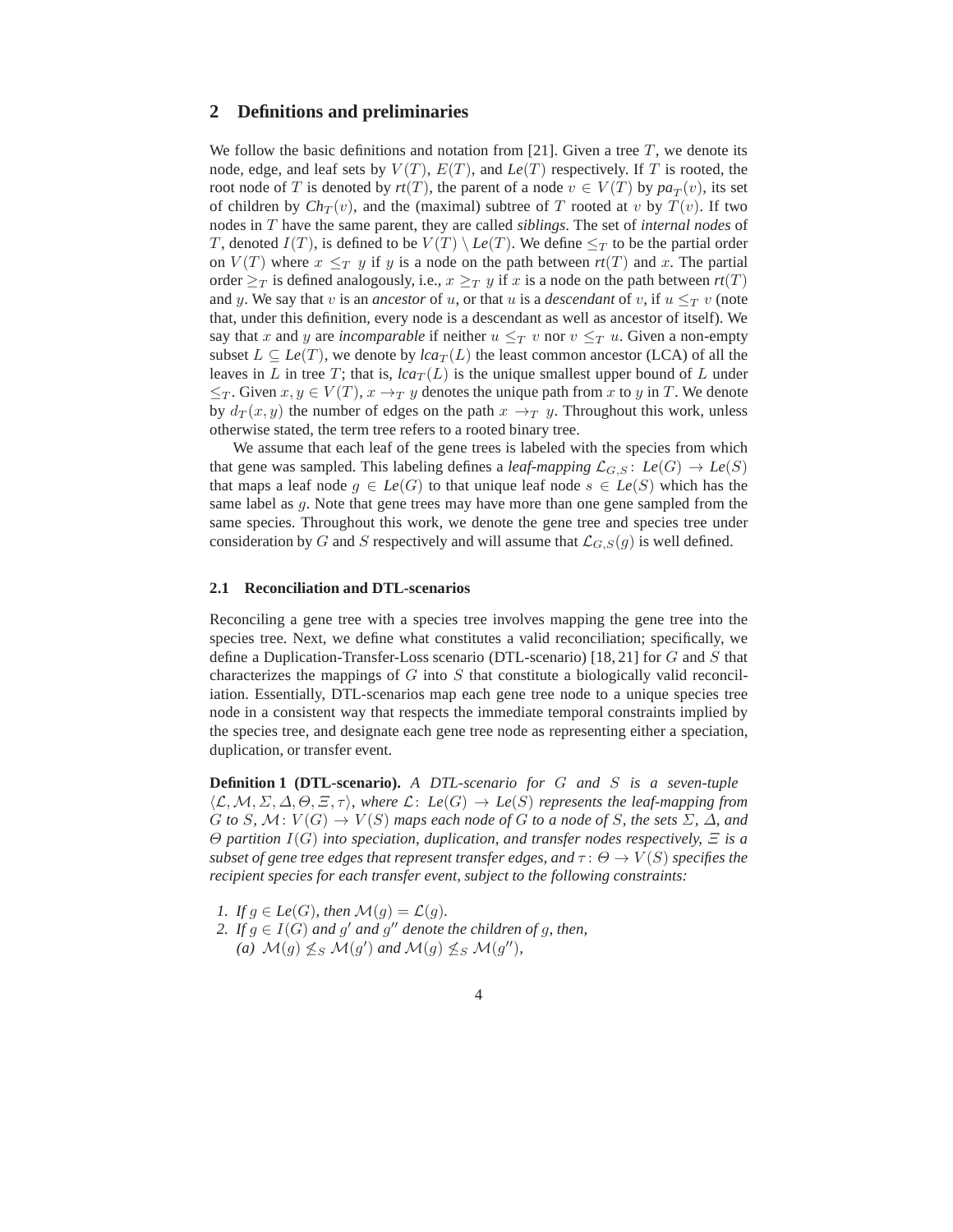#### **2 Definitions and preliminaries**

We follow the basic definitions and notation from [21]. Given a tree  $T$ , we denote its node, edge, and leaf sets by  $V(T)$ ,  $E(T)$ , and  $Le(T)$  respectively. If T is rooted, the root node of T is denoted by  $rt(T)$ , the parent of a node  $v \in V(T)$  by  $pa_T(v)$ , its set of children by  $Ch_T(v)$ , and the (maximal) subtree of T rooted at v by  $T(v)$ . If two nodes in T have the same parent, they are called *siblings*. The set of *internal nodes* of T, denoted  $I(T)$ , is defined to be  $V(T) \setminus Le(T)$ . We define  $\leq_T$  to be the partial order on  $V(T)$  where  $x \leq_T y$  if y is a node on the path between  $rt(T)$  and x. The partial order  $\geq_T$  is defined analogously, i.e.,  $x \geq_T y$  if x is a node on the path between  $rt(T)$ and y. We say that v is an *ancestor* of u, or that u is a *descendant* of v, if  $u \leq_T v$  (note that, under this definition, every node is a descendant as well as ancestor of itself). We say that x and y are *incomparable* if neither  $u \leq_T v$  nor  $v \leq_T u$ . Given a non-empty subset  $L \subseteq Le(T)$ , we denote by  $lca_T(L)$  the least common ancestor (LCA) of all the leaves in L in tree T; that is,  $lca_T(L)$  is the unique smallest upper bound of L under  $\leq_T$ . Given  $x, y \in V(T)$ ,  $x \to_T y$  denotes the unique path from x to y in T. We denote by  $d_T(x, y)$  the number of edges on the path  $x \rightarrow_T y$ . Throughout this work, unless otherwise stated, the term tree refers to a rooted binary tree.

We assume that each leaf of the gene trees is labeled with the species from which that gene was sampled. This labeling defines a *leaf-mapping*  $\mathcal{L}_{G,S}$ :  $Le(G) \rightarrow Le(S)$ that maps a leaf node  $g \in Le(G)$  to that unique leaf node  $s \in Le(S)$  which has the same label as g. Note that gene trees may have more than one gene sampled from the same species. Throughout this work, we denote the gene tree and species tree under consideration by G and S respectively and will assume that  $\mathcal{L}_{G,S}(g)$  is well defined.

#### **2.1 Reconciliation and DTL-scenarios**

Reconciling a gene tree with a species tree involves mapping the gene tree into the species tree. Next, we define what constitutes a valid reconciliation; specifically, we define a Duplication-Transfer-Loss scenario (DTL-scenario) [18, 21] for  $G$  and  $S$  that characterizes the mappings of  $G$  into  $S$  that constitute a biologically valid reconciliation. Essentially, DTL-scenarios map each gene tree node to a unique species tree node in a consistent way that respects the immediate temporal constraints implied by the species tree, and designate each gene tree node as representing either a speciation, duplication, or transfer event.

**Definition 1 (DTL-scenario).** *A DTL-scenario for* G *and* S *is a seven-tuple*  $\langle \mathcal{L}, \mathcal{M}, \Sigma, \Delta, \Theta, \Xi, \tau \rangle$ , where  $\mathcal{L}:$  *Le*(*G*)  $\rightarrow$  *Le(S)* represents the leaf-mapping from G *to* S, M:  $V(G) \rightarrow V(S)$  maps each node of G *to* a node of S, the sets  $\Sigma$ ,  $\Delta$ , and Θ *partition* I(G) *into speciation, duplication, and transfer nodes respectively,* Ξ *is a subset of gene tree edges that represent transfer edges, and*  $\tau: \Theta \to V(S)$  *specifies the recipient species for each transfer event, subject to the following constraints:*

- *1. If*  $g \in Le(G)$ *, then*  $\mathcal{M}(g) = \mathcal{L}(g)$ *.*
- 2. If  $g \in I(G)$  and g' and g'' denote the children of g, then,
	- (a)  $\mathcal{M}(g) \not\leq_S \mathcal{M}(g')$  and  $\mathcal{M}(g) \not\leq_S \mathcal{M}(g'')$ ,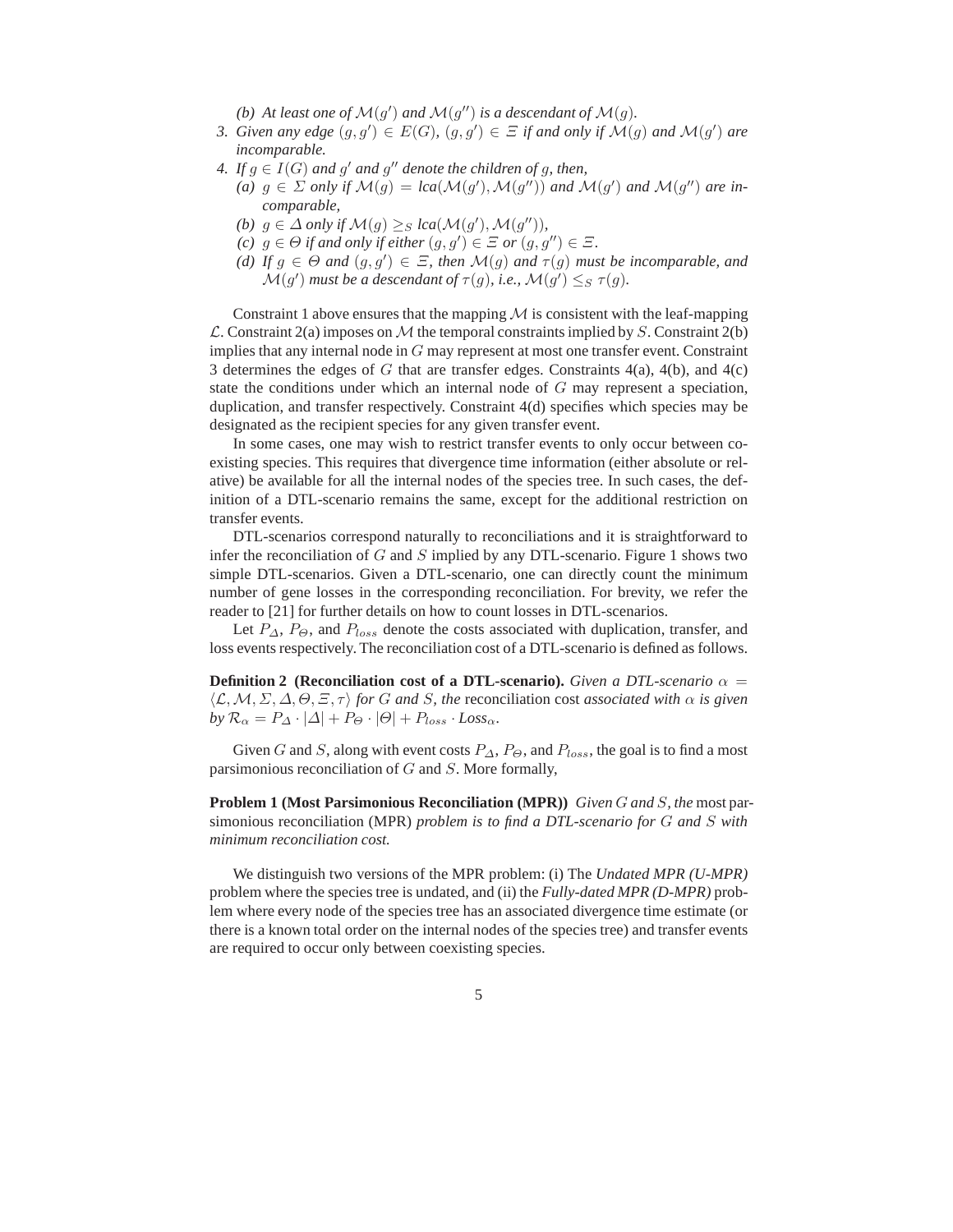(b) At least one of  $\mathcal{M}(g')$  and  $\mathcal{M}(g'')$  is a descendant of  $\mathcal{M}(g)$ .

- *3. Given any edge*  $(g, g') \in E(G)$ ,  $(g, g') \in \Xi$  *if and only if*  $\mathcal{M}(g)$  *and*  $\mathcal{M}(g')$  *are incomparable.*
- *4.* If  $g \in I(G)$  and  $g'$  and  $g''$  denote the children of g, then,
	- *(a)*  $g \in \Sigma$  *only if*  $\mathcal{M}(g) = \text{lca}(\mathcal{M}(g'), \mathcal{M}(g''))$  *and*  $\mathcal{M}(g')$  *and*  $\mathcal{M}(g'')$  *are incomparable,*
	- *(b)*  $g \in \Delta$  *only if*  $\mathcal{M}(g) \geq_S \text{lca}(\mathcal{M}(g'), \mathcal{M}(g'')),$
	- *(c)*  $g \in \Theta$  *if and only if either*  $(g, g') \in \Xi$  *or*  $(g, g'') \in \Xi$ .
	- *(d)* If  $g \in \Theta$  and  $(g, g') \in \Xi$ , then  $\mathcal{M}(g)$  and  $\tau(g)$  must be incomparable, and  $\mathcal{M}(g')$  must be a descendant of  $\tau(g)$ , i.e.,  $\mathcal{M}(g') \leq_S \tau(g)$ .

Constraint 1 above ensures that the mapping  $M$  is consistent with the leaf-mapping  $\mathcal{L}$ . Constraint 2(a) imposes on M the temporal constraints implied by S. Constraint 2(b) implies that any internal node in  $G$  may represent at most one transfer event. Constraint 3 determines the edges of  $G$  that are transfer edges. Constraints  $4(a)$ ,  $4(b)$ , and  $4(c)$ state the conditions under which an internal node of G may represent a speciation, duplication, and transfer respectively. Constraint 4(d) specifies which species may be designated as the recipient species for any given transfer event.

In some cases, one may wish to restrict transfer events to only occur between coexisting species. This requires that divergence time information (either absolute or relative) be available for all the internal nodes of the species tree. In such cases, the definition of a DTL-scenario remains the same, except for the additional restriction on transfer events.

DTL-scenarios correspond naturally to reconciliations and it is straightforward to infer the reconciliation of  $G$  and  $S$  implied by any DTL-scenario. Figure 1 shows two simple DTL-scenarios. Given a DTL-scenario, one can directly count the minimum number of gene losses in the corresponding reconciliation. For brevity, we refer the reader to [21] for further details on how to count losses in DTL-scenarios.

Let  $P_{\Delta}$ ,  $P_{\Theta}$ , and  $P_{loss}$  denote the costs associated with duplication, transfer, and loss events respectively. The reconciliation cost of a DTL-scenario is defined as follows.

**Definition 2 (Reconciliation cost of a DTL-scenario).** *Given a DTL-scenario*  $\alpha$  =  $\langle \mathcal{L}, \mathcal{M}, \Sigma, \Delta, \Theta, \Xi, \tau \rangle$  for G and S, the reconciliation cost *associated with*  $\alpha$  *is given*  $b\mathbf{y} \mathcal{R}_{\alpha} = P_{\Delta} \cdot |\Delta| + P_{\Theta} \cdot |\Theta| + P_{loss} \cdot Loss_{\alpha}$ .

Given G and S, along with event costs  $P_{\Delta}$ ,  $P_{\Theta}$ , and  $P_{loss}$ , the goal is to find a most parsimonious reconciliation of  $G$  and  $S$ . More formally,

**Problem 1 (Most Parsimonious Reconciliation (MPR))** *Given* G *and* S*, the* most parsimonious reconciliation (MPR) *problem is to find a DTL-scenario for* G *and* S *with minimum reconciliation cost.*

We distinguish two versions of the MPR problem: (i) The *Undated MPR (U-MPR)* problem where the species tree is undated, and (ii) the *Fully-dated MPR (D-MPR)* problem where every node of the species tree has an associated divergence time estimate (or there is a known total order on the internal nodes of the species tree) and transfer events are required to occur only between coexisting species.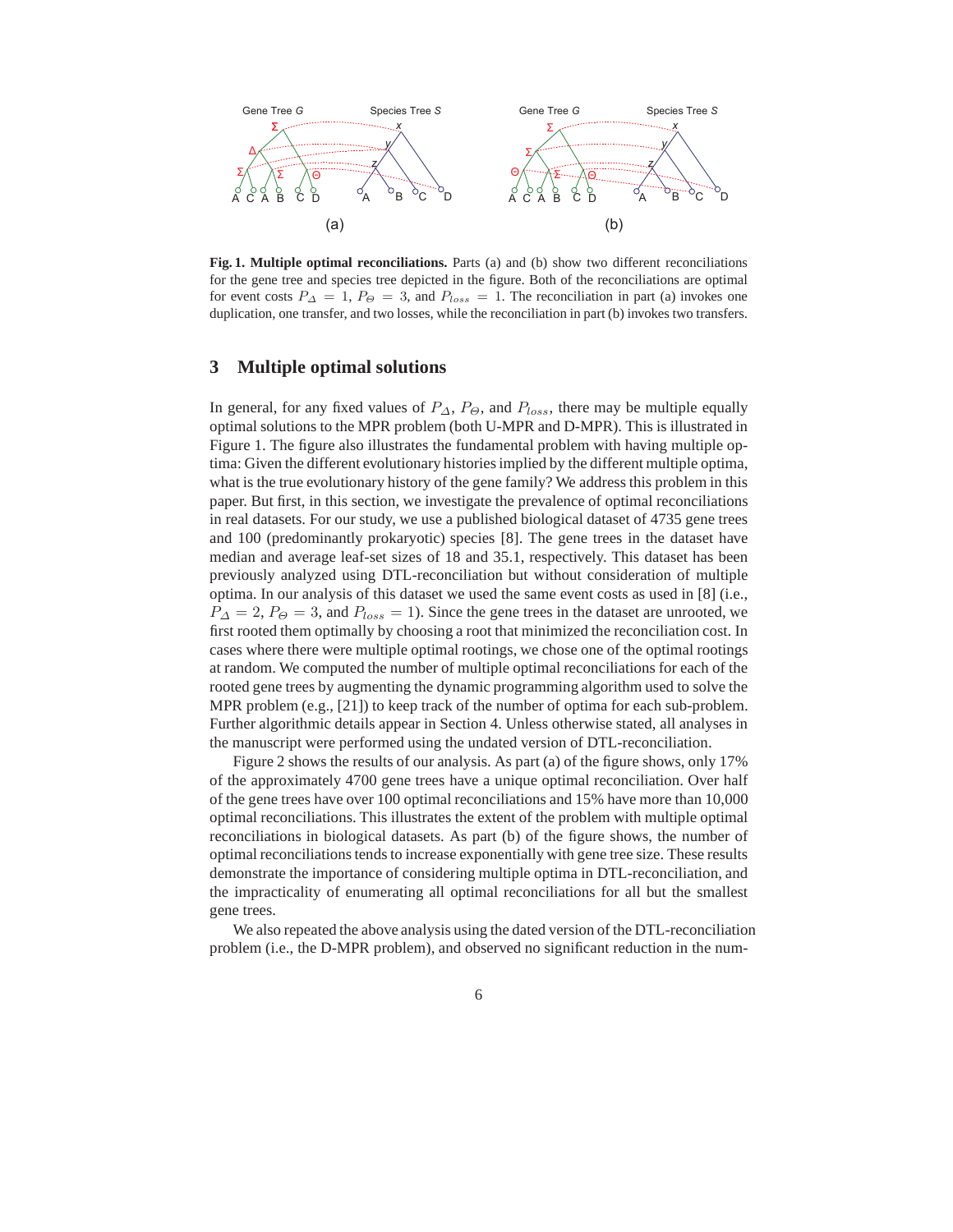

**Fig. 1. Multiple optimal reconciliations.** Parts (a) and (b) show two different reconciliations for the gene tree and species tree depicted in the figure. Both of the reconciliations are optimal for event costs  $P_{\Delta} = 1$ ,  $P_{\Theta} = 3$ , and  $P_{loss} = 1$ . The reconciliation in part (a) invokes one duplication, one transfer, and two losses, while the reconciliation in part (b) invokes two transfers.

#### **3 Multiple optimal solutions**

In general, for any fixed values of  $P_{\Delta}$ ,  $P_{\Theta}$ , and  $P_{loss}$ , there may be multiple equally optimal solutions to the MPR problem (both U-MPR and D-MPR). This is illustrated in Figure 1. The figure also illustrates the fundamental problem with having multiple optima: Given the different evolutionary histories implied by the different multiple optima, what is the true evolutionary history of the gene family? We address this problem in this paper. But first, in this section, we investigate the prevalence of optimal reconciliations in real datasets. For our study, we use a published biological dataset of 4735 gene trees and 100 (predominantly prokaryotic) species [8]. The gene trees in the dataset have median and average leaf-set sizes of 18 and 35.1, respectively. This dataset has been previously analyzed using DTL-reconciliation but without consideration of multiple optima. In our analysis of this dataset we used the same event costs as used in [8] (i.e.,  $P_{\Delta} = 2$ ,  $P_{\Theta} = 3$ , and  $P_{loss} = 1$ ). Since the gene trees in the dataset are unrooted, we first rooted them optimally by choosing a root that minimized the reconciliation cost. In cases where there were multiple optimal rootings, we chose one of the optimal rootings at random. We computed the number of multiple optimal reconciliations for each of the rooted gene trees by augmenting the dynamic programming algorithm used to solve the MPR problem (e.g., [21]) to keep track of the number of optima for each sub-problem. Further algorithmic details appear in Section 4. Unless otherwise stated, all analyses in the manuscript were performed using the undated version of DTL-reconciliation.

Figure 2 shows the results of our analysis. As part (a) of the figure shows, only 17% of the approximately 4700 gene trees have a unique optimal reconciliation. Over half of the gene trees have over 100 optimal reconciliations and 15% have more than 10,000 optimal reconciliations. This illustrates the extent of the problem with multiple optimal reconciliations in biological datasets. As part (b) of the figure shows, the number of optimal reconciliations tends to increase exponentially with gene tree size. These results demonstrate the importance of considering multiple optima in DTL-reconciliation, and the impracticality of enumerating all optimal reconciliations for all but the smallest gene trees.

We also repeated the above analysis using the dated version of the DTL-reconciliation problem (i.e., the D-MPR problem), and observed no significant reduction in the num-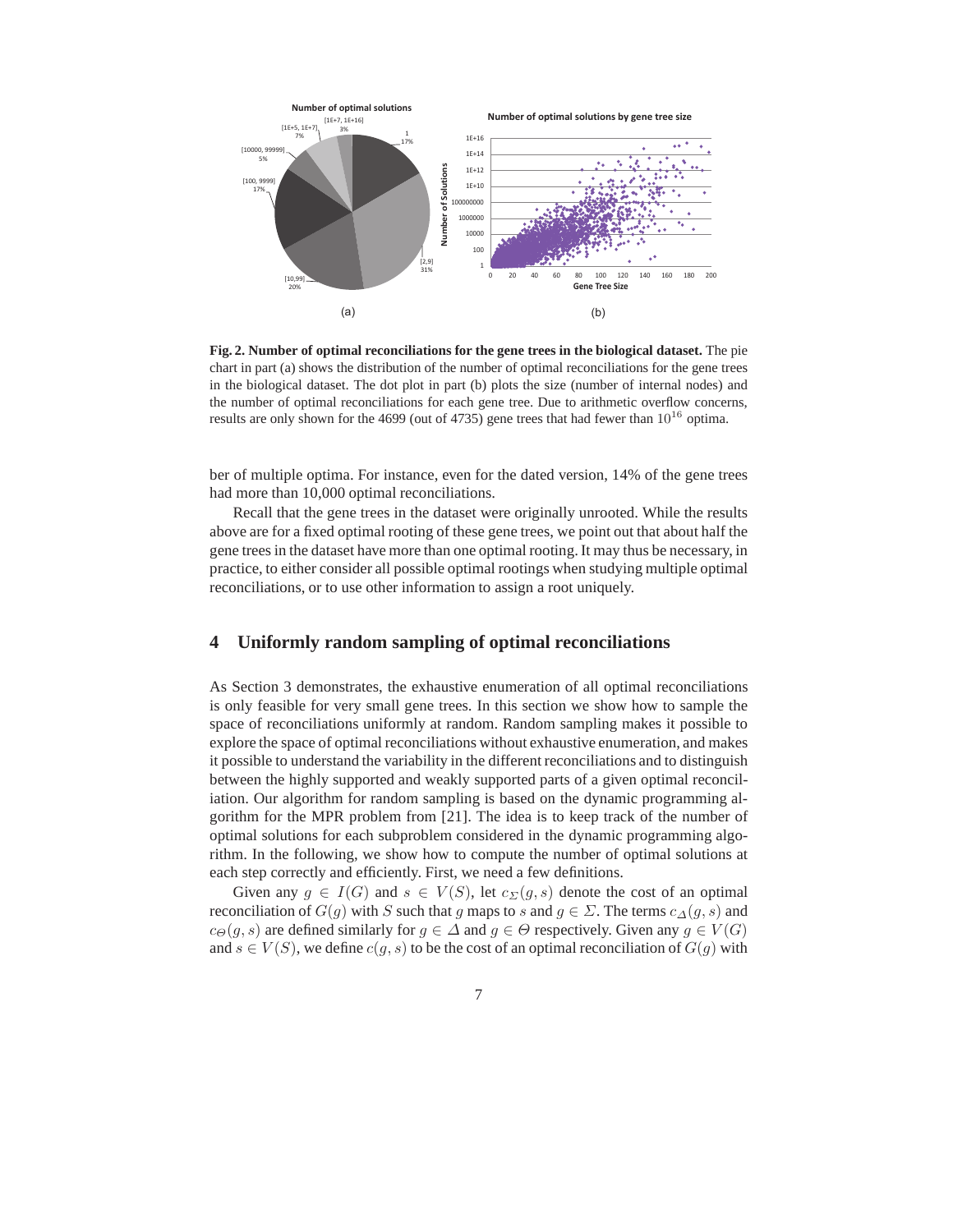

**Fig. 2. Number of optimal reconciliations for the gene trees in the biological dataset.** The pie chart in part (a) shows the distribution of the number of optimal reconciliations for the gene trees in the biological dataset. The dot plot in part (b) plots the size (number of internal nodes) and the number of optimal reconciliations for each gene tree. Due to arithmetic overflow concerns, results are only shown for the 4699 (out of 4735) gene trees that had fewer than  $10^{16}$  optima.

ber of multiple optima. For instance, even for the dated version, 14% of the gene trees had more than 10,000 optimal reconciliations.

Recall that the gene trees in the dataset were originally unrooted. While the results above are for a fixed optimal rooting of these gene trees, we point out that about half the gene trees in the dataset have more than one optimal rooting.It may thus be necessary, in practice, to either consider all possible optimal rootings when studying multiple optimal reconciliations, or to use other information to assign a root uniquely.

# **4 Uniformly random sampling of optimal reconciliations**

As Section 3 demonstrates, the exhaustive enumeration of all optimal reconciliations is only feasible for very small gene trees. In this section we show how to sample the space of reconciliations uniformly at random. Random sampling makes it possible to explore the space of optimal reconciliations without exhaustive enumeration, and makes it possible to understand the variability in the different reconciliations and to distinguish between the highly supported and weakly supported parts of a given optimal reconciliation. Our algorithm for random sampling is based on the dynamic programming algorithm for the MPR problem from [21]. The idea is to keep track of the number of optimal solutions for each subproblem considered in the dynamic programming algorithm. In the following, we show how to compute the number of optimal solutions at each step correctly and efficiently. First, we need a few definitions.

Given any  $g \in I(G)$  and  $s \in V(S)$ , let  $c_{\Sigma}(g, s)$  denote the cost of an optimal reconciliation of  $G(g)$  with S such that g maps to s and  $g \in \Sigma$ . The terms  $c_{\Delta}(g, s)$  and  $c_{\Theta}(g, s)$  are defined similarly for  $g \in \Delta$  and  $g \in \Theta$  respectively. Given any  $g \in V(G)$ and  $s \in V(S)$ , we define  $c(g, s)$  to be the cost of an optimal reconciliation of  $G(g)$  with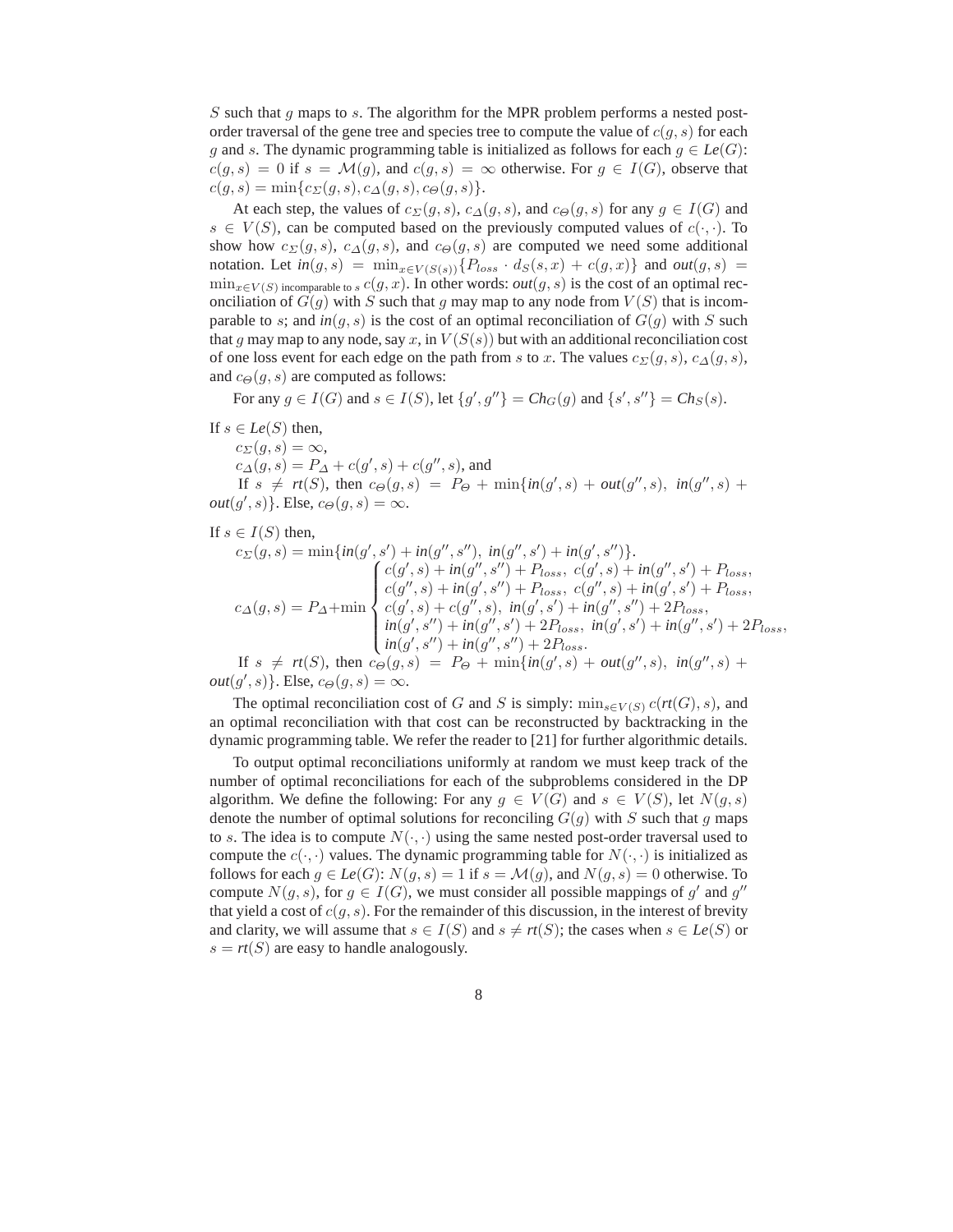S such that q maps to s. The algorithm for the MPR problem performs a nested postorder traversal of the gene tree and species tree to compute the value of  $c(g, s)$  for each g and s. The dynamic programming table is initialized as follows for each  $g \in Le(G)$ :  $c(g, s) = 0$  if  $s = \mathcal{M}(g)$ , and  $c(g, s) = \infty$  otherwise. For  $g \in I(G)$ , observe that  $c(g, s) = \min\{c_{\Sigma}(g, s), c_{\Delta}(g, s), c_{\Theta}(g, s)\}.$ 

At each step, the values of  $c_{\Sigma}(g, s)$ ,  $c_{\Delta}(g, s)$ , and  $c_{\Theta}(g, s)$  for any  $g \in I(G)$  and  $s \in V(S)$ , can be computed based on the previously computed values of  $c(\cdot, \cdot)$ . To show how  $c_{\Sigma}(g, s)$ ,  $c_{\Delta}(g, s)$ , and  $c_{\Theta}(g, s)$  are computed we need some additional notation. Let  $in(g, s) = min_{x \in V(S(s))} {P_{loss} \cdot d_S(s, x) + c(g, x)}$  and  $out(g, s) =$  $\min_{x \in V(S)}$  incomparable to s  $c(g, x)$ . In other words: *out*( $g, s$ ) is the cost of an optimal reconciliation of  $G(g)$  with S such that g may map to any node from  $V(S)$  that is incomparable to s; and  $in(g, s)$  is the cost of an optimal reconciliation of  $G(g)$  with S such that g may map to any node, say x, in  $V(S(s))$  but with an additional reconciliation cost of one loss event for each edge on the path from s to x. The values  $c_{\Sigma}(g, s)$ ,  $c_{\Delta}(g, s)$ , and  $c_{\Theta}(g, s)$  are computed as follows:

For any  $g \in I(G)$  and  $s \in I(S)$ , let  $\{g', g''\} = Ch_G(g)$  and  $\{s', s''\} = Ch_S(s)$ .

If  $s \in Le(S)$  then,

 $c_{\Sigma}(q, s) = \infty$ ,  $c_{\Delta}(g, s) = P_{\Delta} + c(g', s) + c(g'', s)$ , and

If  $s \neq rt(S)$ , then  $c_{\Theta}(g, s) = P_{\Theta} + \min\{in(g', s) + out(g'', s), in(g'', s) +$  $out(g', s)$ . Else,  $c_{\Theta}(g, s) = \infty$ .

If 
$$
s \in I(S)
$$
 then,

$$
c_{\Sigma}(g, s) = \min\{in(g', s') + in(g'', s''), in(g'', s') + in(g', s'')\}.
$$
  
\n
$$
c_{\Delta}(g, s) = P_{\Delta} + \min\begin{cases}c(g', s) + in(g'', s'') + P_{loss}, & c(g', s) + in(g'', s') + P_{loss}, \\c(g'', s) + in(g', s'') + P_{loss}, & c(g'', s) + in(g', s') + P_{loss}, \\c(g', s) + c(g'', s), & in(g', s') + in(g'', s'') + 2P_{loss}, \\in(g', s'') + in(g'', s') + 2P_{loss}, & in(g', s') + in(g'', s') + 2P_{loss}, \\in(g', s'') + in(g'', s'') + 2P_{loss}. \end{cases}
$$
  
\nIf  $s \neq rt(S)$ , then  $c_{\Sigma}(g, s) = P_{\Delta} + \min\{in(g', s) + out(g'', s) - in(g'', s')\} = P_{\Sigma} + \min\{in(g', s) + out(g'', s) - in(g'', s')\} = P_{\Sigma} + \min\{in(g', s) + out(g'', s') - in(g'', s')\} = P_{\Sigma} + \min\{in(g', s) + out(g'', s') - in(g'', s')\} = P_{\Sigma} + \min\{in(g', s) + out(g'', s') - in(g'', s')\} = P_{\Sigma} + \min\{in(g', s) + out(g'', s') - in(g'', s')\} = P_{\Sigma} + \min\{in(g'', s) + out(g'', s') - in(g'', s')\} = P_{\Sigma} + \min\{in(g'', s) + out(g'', s') - in(g'', s')\} = P_{\Sigma} + \min\{in(g'', s) + out(g'', s') + in(g'', s')\} = P_{\Sigma} + \min\{in(g'', s) + out(g'', s') + in(g'', s')\} = P_{\Sigma} + \min\{in(g'', s) + out(g'', s') + in(g'', s')\} = P_{\Sigma} + \min\{in(g'', s') + out(g'', s') + in(g'', s')\} = P_{\Sigma} + \min\{in(g'', s') + out(g'', s') + in(g'', s')\} = P_{\Sigma} + \min\{in(g'', s') + out(g'', s') + in(g'', s')\} = P_{\Sigma} + \min\{in(g'', s') + out(g'', s') + in(g'', s')\} = P_{\Sigma} + \min\{in(g'', s') + out(g'', s') + in(g'', s')\} = P_{\Sigma} + \min$ 

If  $s \neq rt(S)$ , then  $c_{\Theta}(g, s) = P_{\Theta} + \min\{in(g', s) + out(g'', s), in(g'', s) +$  $out(g', s)$ . Else,  $c_{\Theta}(g, s) = \infty$ .

The optimal reconciliation cost of G and S is simply:  $\min_{s \in V(S)} c(rt(G), s)$ , and an optimal reconciliation with that cost can be reconstructed by backtracking in the dynamic programming table. We refer the reader to [21] for further algorithmic details.

To output optimal reconciliations uniformly at random we must keep track of the number of optimal reconciliations for each of the subproblems considered in the DP algorithm. We define the following: For any  $g \in V(G)$  and  $s \in V(S)$ , let  $N(g, s)$ denote the number of optimal solutions for reconciling  $G(g)$  with S such that g maps to s. The idea is to compute  $N(\cdot, \cdot)$  using the same nested post-order traversal used to compute the  $c(\cdot, \cdot)$  values. The dynamic programming table for  $N(\cdot, \cdot)$  is initialized as follows for each  $g \in Le(G)$ :  $N(g, s) = 1$  if  $s = \mathcal{M}(g)$ , and  $N(g, s) = 0$  otherwise. To compute  $N(g, s)$ , for  $g \in I(G)$ , we must consider all possible mappings of g' and g'' that yield a cost of  $c(q, s)$ . For the remainder of this discussion, in the interest of brevity and clarity, we will assume that  $s \in I(S)$  and  $s \neq rt(S)$ ; the cases when  $s \in Le(S)$  or  $s = rt(S)$  are easy to handle analogously.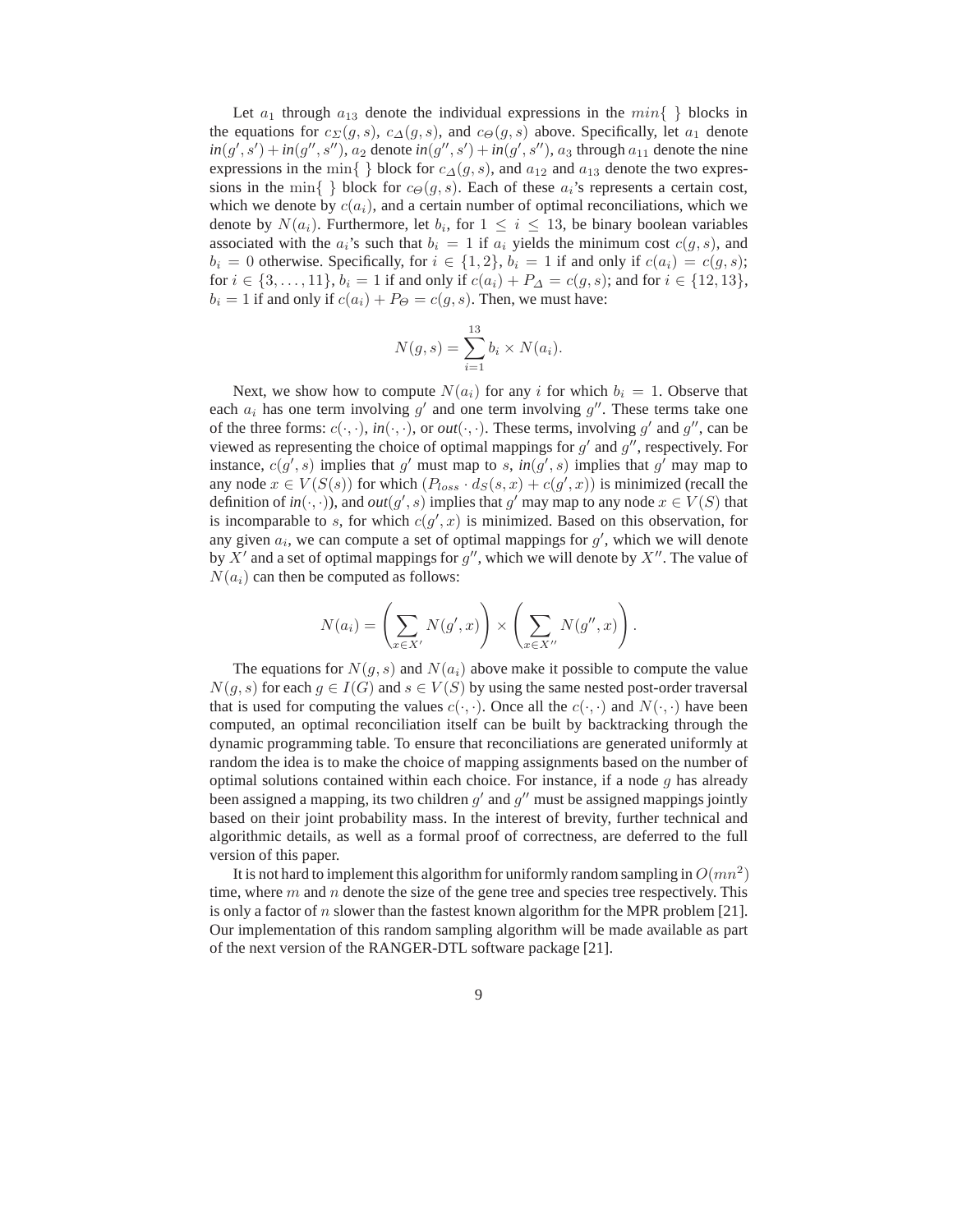Let  $a_1$  through  $a_{13}$  denote the individual expressions in the  $min\{\}$  blocks in the equations for  $c_{\Sigma}(g, s)$ ,  $c_{\Delta}(g, s)$ , and  $c_{\Theta}(g, s)$  above. Specifically, let  $a_1$  denote  $in(g', s') + in(g'', s''), a_2$  denote  $in(g'', s') + in(g', s''), a_3$  through  $a_{11}$  denote the nine expressions in the min{ } block for  $c_{\Delta}(g, s)$ , and  $a_{12}$  and  $a_{13}$  denote the two expressions in the min{ } block for  $c_{\Theta}(g, s)$ . Each of these  $a_i$ 's represents a certain cost, which we denote by  $c(a_i)$ , and a certain number of optimal reconciliations, which we denote by  $N(a_i)$ . Furthermore, let  $b_i$ , for  $1 \leq i \leq 13$ , be binary boolean variables associated with the  $a_i$ 's such that  $b_i = 1$  if  $a_i$  yields the minimum cost  $c(g, s)$ , and  $b_i = 0$  otherwise. Specifically, for  $i \in \{1, 2\}$ ,  $b_i = 1$  if and only if  $c(a_i) = c(g, s)$ ; for  $i \in \{3, ..., 11\}$ ,  $b_i = 1$  if and only if  $c(a_i) + P_\Delta = c(g, s)$ ; and for  $i \in \{12, 13\}$ ,  $b_i = 1$  if and only if  $c(a_i) + P_{\Theta} = c(g, s)$ . Then, we must have:

$$
N(g, s) = \sum_{i=1}^{13} b_i \times N(a_i).
$$

Next, we show how to compute  $N(a_i)$  for any i for which  $b_i = 1$ . Observe that each  $a_i$  has one term involving  $g'$  and one term involving  $g''$ . These terms take one of the three forms:  $c(\cdot, \cdot)$ ,  $in(\cdot, \cdot)$ , or  $out(\cdot, \cdot)$ . These terms, involving g' and g'', can be viewed as representing the choice of optimal mappings for  $g'$  and  $g''$ , respectively. For instance,  $c(g', s)$  implies that g' must map to s,  $in(g', s)$  implies that g' may map to any node  $x \in V(S(s))$  for which  $(P_{loss} \cdot d_S(s, x) + c(g', x))$  is minimized (recall the definition of  $in(\cdot, \cdot)$ ), and  $out(g', s)$  implies that g' may map to any node  $x \in V(S)$  that is incomparable to s, for which  $c(g', x)$  is minimized. Based on this observation, for any given  $a_i$ , we can compute a set of optimal mappings for  $g'$ , which we will denote by  $X'$  and a set of optimal mappings for  $g''$ , which we will denote by  $X''$ . The value of  $N(a_i)$  can then be computed as follows:

$$
N(a_i) = \left(\sum_{x \in X'} N(g', x)\right) \times \left(\sum_{x \in X''} N(g'', x)\right).
$$

The equations for  $N(q, s)$  and  $N(a_i)$  above make it possible to compute the value  $N(q, s)$  for each  $q \in I(G)$  and  $s \in V(S)$  by using the same nested post-order traversal that is used for computing the values  $c(\cdot, \cdot)$ . Once all the  $c(\cdot, \cdot)$  and  $N(\cdot, \cdot)$  have been computed, an optimal reconciliation itself can be built by backtracking through the dynamic programming table. To ensure that reconciliations are generated uniformly at random the idea is to make the choice of mapping assignments based on the number of optimal solutions contained within each choice. For instance, if a node q has already been assigned a mapping, its two children  $g'$  and  $g''$  must be assigned mappings jointly based on their joint probability mass. In the interest of brevity, further technical and algorithmic details, as well as a formal proof of correctness, are deferred to the full version of this paper.

It is not hard to implement this algorithm for uniformly random sampling in  $O(mn^2)$ time, where  $m$  and  $n$  denote the size of the gene tree and species tree respectively. This is only a factor of n slower than the fastest known algorithm for the MPR problem [21]. Our implementation of this random sampling algorithm will be made available as part of the next version of the RANGER-DTL software package [21].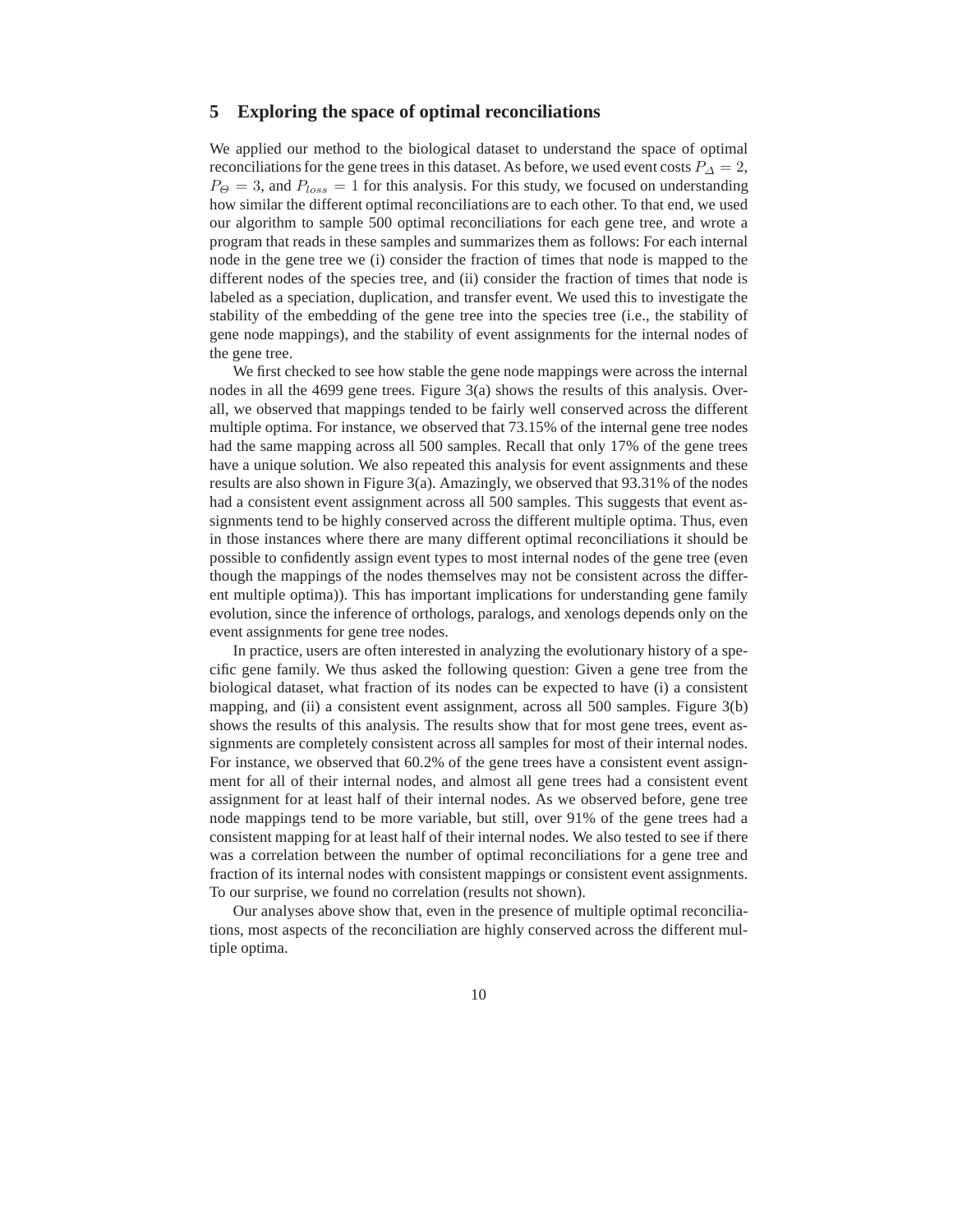# **5 Exploring the space of optimal reconciliations**

We applied our method to the biological dataset to understand the space of optimal reconciliations for the gene trees in this dataset. As before, we used event costs  $P_{\Delta} = 2$ ,  $P_{\Theta} = 3$ , and  $P_{loss} = 1$  for this analysis. For this study, we focused on understanding how similar the different optimal reconciliations are to each other. To that end, we used our algorithm to sample 500 optimal reconciliations for each gene tree, and wrote a program that reads in these samples and summarizes them as follows: For each internal node in the gene tree we (i) consider the fraction of times that node is mapped to the different nodes of the species tree, and (ii) consider the fraction of times that node is labeled as a speciation, duplication, and transfer event. We used this to investigate the stability of the embedding of the gene tree into the species tree (i.e., the stability of gene node mappings), and the stability of event assignments for the internal nodes of the gene tree.

We first checked to see how stable the gene node mappings were across the internal nodes in all the 4699 gene trees. Figure 3(a) shows the results of this analysis. Overall, we observed that mappings tended to be fairly well conserved across the different multiple optima. For instance, we observed that 73.15% of the internal gene tree nodes had the same mapping across all 500 samples. Recall that only 17% of the gene trees have a unique solution. We also repeated this analysis for event assignments and these results are also shown in Figure 3(a). Amazingly, we observed that 93.31% of the nodes had a consistent event assignment across all 500 samples. This suggests that event assignments tend to be highly conserved across the different multiple optima. Thus, even in those instances where there are many different optimal reconciliations it should be possible to confidently assign event types to most internal nodes of the gene tree (even though the mappings of the nodes themselves may not be consistent across the different multiple optima)). This has important implications for understanding gene family evolution, since the inference of orthologs, paralogs, and xenologs depends only on the event assignments for gene tree nodes.

In practice, users are often interested in analyzing the evolutionary history of a specific gene family. We thus asked the following question: Given a gene tree from the biological dataset, what fraction of its nodes can be expected to have (i) a consistent mapping, and (ii) a consistent event assignment, across all 500 samples. Figure 3(b) shows the results of this analysis. The results show that for most gene trees, event assignments are completely consistent across all samples for most of their internal nodes. For instance, we observed that 60.2% of the gene trees have a consistent event assignment for all of their internal nodes, and almost all gene trees had a consistent event assignment for at least half of their internal nodes. As we observed before, gene tree node mappings tend to be more variable, but still, over 91% of the gene trees had a consistent mapping for at least half of their internal nodes. We also tested to see if there was a correlation between the number of optimal reconciliations for a gene tree and fraction of its internal nodes with consistent mappings or consistent event assignments. To our surprise, we found no correlation (results not shown).

Our analyses above show that, even in the presence of multiple optimal reconciliations, most aspects of the reconciliation are highly conserved across the different multiple optima.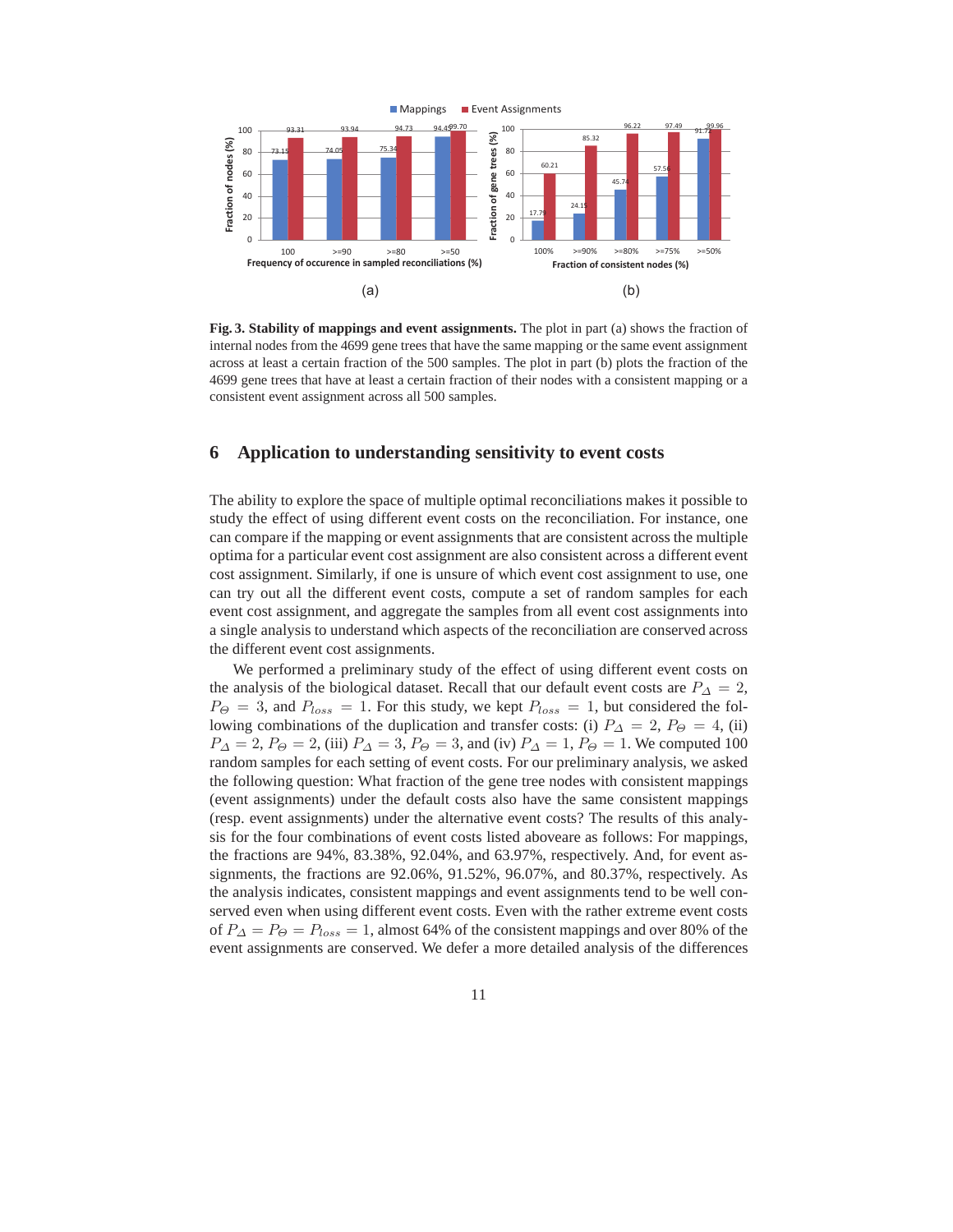

**Fig. 3. Stability of mappings and event assignments.** The plot in part (a) shows the fraction of internal nodes from the 4699 gene trees that have the same mapping or the same event assignment across at least a certain fraction of the 500 samples. The plot in part (b) plots the fraction of the 4699 gene trees that have at least a certain fraction of their nodes with a consistent mapping or a consistent event assignment across all 500 samples.

# **6 Application to understanding sensitivity to event costs**

The ability to explore the space of multiple optimal reconciliations makes it possible to study the effect of using different event costs on the reconciliation. For instance, one can compare if the mapping or event assignments that are consistent across the multiple optima for a particular event cost assignment are also consistent across a different event cost assignment. Similarly, if one is unsure of which event cost assignment to use, one can try out all the different event costs, compute a set of random samples for each event cost assignment, and aggregate the samples from all event cost assignments into a single analysis to understand which aspects of the reconciliation are conserved across the different event cost assignments.

We performed a preliminary study of the effect of using different event costs on the analysis of the biological dataset. Recall that our default event costs are  $P_{\Delta} = 2$ ,  $P_{\Theta} = 3$ , and  $P_{loss} = 1$ . For this study, we kept  $P_{loss} = 1$ , but considered the following combinations of the duplication and transfer costs: (i)  $P_{\Delta} = 2$ ,  $P_{\Theta} = 4$ , (ii)  $P_{\Delta} = 2$ ,  $P_{\Theta} = 2$ , (iii)  $P_{\Delta} = 3$ ,  $P_{\Theta} = 3$ , and (iv)  $P_{\Delta} = 1$ ,  $P_{\Theta} = 1$ . We computed 100 random samples for each setting of event costs. For our preliminary analysis, we asked the following question: What fraction of the gene tree nodes with consistent mappings (event assignments) under the default costs also have the same consistent mappings (resp. event assignments) under the alternative event costs? The results of this analysis for the four combinations of event costs listed aboveare as follows: For mappings, the fractions are 94%, 83.38%, 92.04%, and 63.97%, respectively. And, for event assignments, the fractions are 92.06%, 91.52%, 96.07%, and 80.37%, respectively. As the analysis indicates, consistent mappings and event assignments tend to be well conserved even when using different event costs. Even with the rather extreme event costs of  $P_{\Delta} = P_{\Theta} = P_{loss} = 1$ , almost 64% of the consistent mappings and over 80% of the event assignments are conserved. We defer a more detailed analysis of the differences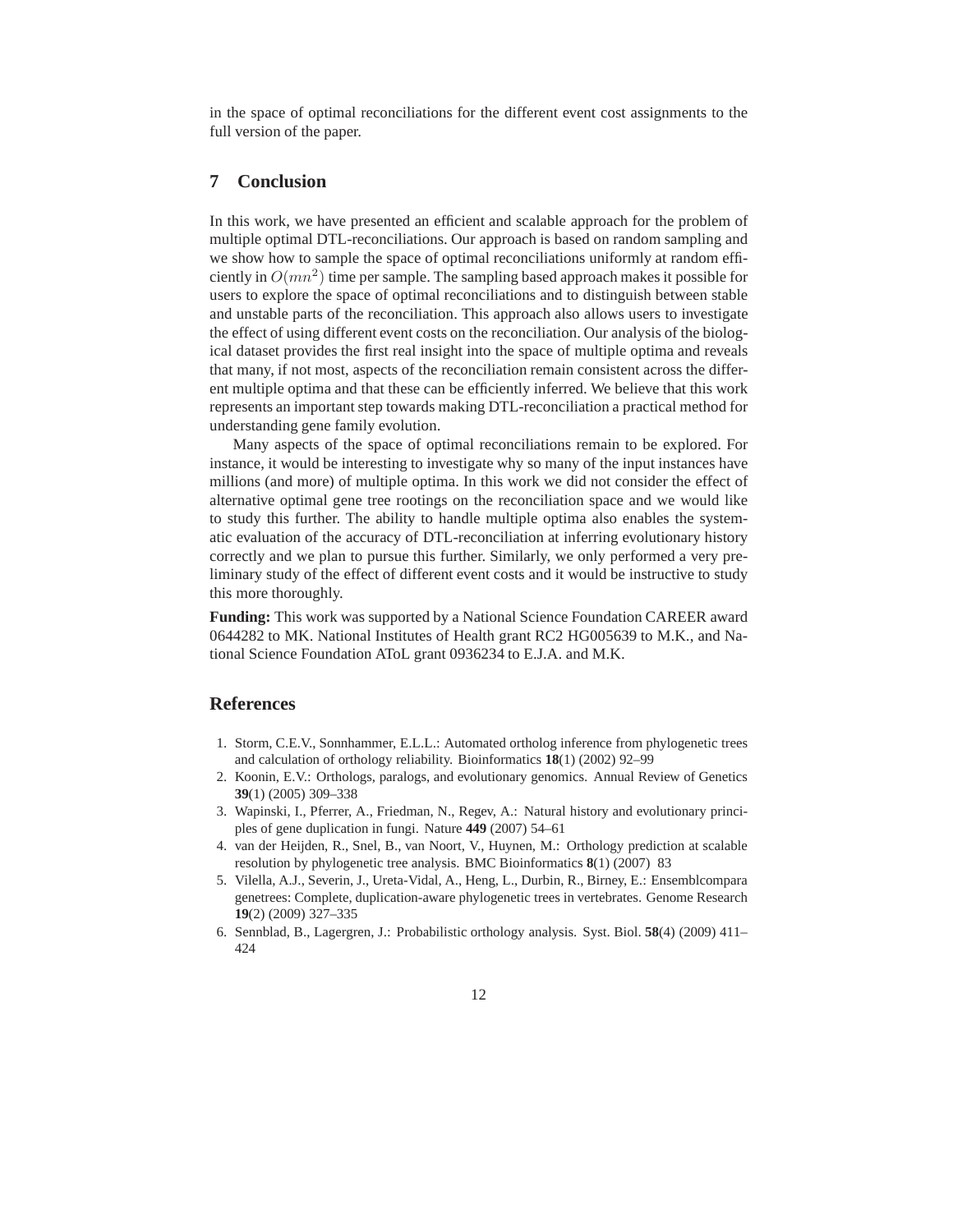in the space of optimal reconciliations for the different event cost assignments to the full version of the paper.

# **7 Conclusion**

In this work, we have presented an efficient and scalable approach for the problem of multiple optimal DTL-reconciliations. Our approach is based on random sampling and we show how to sample the space of optimal reconciliations uniformly at random efficiently in  $O(mn^2)$  time per sample. The sampling based approach makes it possible for users to explore the space of optimal reconciliations and to distinguish between stable and unstable parts of the reconciliation. This approach also allows users to investigate the effect of using different event costs on the reconciliation. Our analysis of the biological dataset provides the first real insight into the space of multiple optima and reveals that many, if not most, aspects of the reconciliation remain consistent across the different multiple optima and that these can be efficiently inferred. We believe that this work represents an important step towards making DTL-reconciliation a practical method for understanding gene family evolution.

Many aspects of the space of optimal reconciliations remain to be explored. For instance, it would be interesting to investigate why so many of the input instances have millions (and more) of multiple optima. In this work we did not consider the effect of alternative optimal gene tree rootings on the reconciliation space and we would like to study this further. The ability to handle multiple optima also enables the systematic evaluation of the accuracy of DTL-reconciliation at inferring evolutionary history correctly and we plan to pursue this further. Similarly, we only performed a very preliminary study of the effect of different event costs and it would be instructive to study this more thoroughly.

**Funding:** This work was supported by a National Science Foundation CAREER award 0644282 to MK. National Institutes of Health grant RC2 HG005639 to M.K., and National Science Foundation AToL grant 0936234 to E.J.A. and M.K.

#### **References**

- 1. Storm, C.E.V., Sonnhammer, E.L.L.: Automated ortholog inference from phylogenetic trees and calculation of orthology reliability. Bioinformatics **18**(1) (2002) 92–99
- 2. Koonin, E.V.: Orthologs, paralogs, and evolutionary genomics. Annual Review of Genetics **39**(1) (2005) 309–338
- 3. Wapinski, I., Pferrer, A., Friedman, N., Regev, A.: Natural history and evolutionary principles of gene duplication in fungi. Nature **449** (2007) 54–61
- 4. van der Heijden, R., Snel, B., van Noort, V., Huynen, M.: Orthology prediction at scalable resolution by phylogenetic tree analysis. BMC Bioinformatics **8**(1) (2007) 83
- 5. Vilella, A.J., Severin, J., Ureta-Vidal, A., Heng, L., Durbin, R., Birney, E.: Ensemblcompara genetrees: Complete, duplication-aware phylogenetic trees in vertebrates. Genome Research **19**(2) (2009) 327–335
- 6. Sennblad, B., Lagergren, J.: Probabilistic orthology analysis. Syst. Biol. **58**(4) (2009) 411– 424